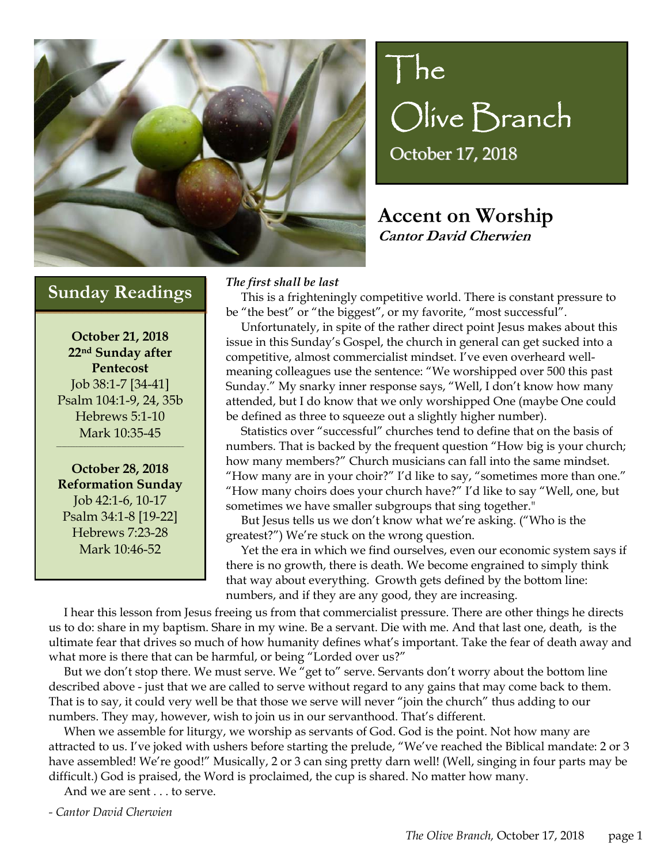

# $|he|$ Olive Branch October 17, 2018

## **Accent on Worship Cantor David Cherwien**

## **Sunday Readings** *The first shall be last*

**October 21, 2018 22nd Sunday after Pentecost**  Job 38:1-7 [34-41] Psalm 104:1-9, 24, 35b Hebrews 5:1-10 Mark 10:35-45

 $\mathcal{L}_\mathcal{L}$  and the contribution of the contribution of the contribution of the contribution of the contribution of the contribution of the contribution of the contribution of the contribution of the contribution of th

**October 28, 2018 Reformation Sunday**  Job 42:1-6, 10-17 Psalm 34:1-8 [19-22] Hebrews 7:23-28 Mark 10:46-52

I

 This is a frighteningly competitive world. There is constant pressure to be "the best" or "the biggest", or my favorite, "most successful".

 Unfortunately, in spite of the rather direct point Jesus makes about this issue in this Sunday's Gospel, the church in general can get sucked into a competitive, almost commercialist mindset. I've even overheard wellmeaning colleagues use the sentence: "We worshipped over 500 this past Sunday." My snarky inner response says, "Well, I don't know how many attended, but I do know that we only worshipped One (maybe One could be defined as three to squeeze out a slightly higher number).

 Statistics over "successful" churches tend to define that on the basis of numbers. That is backed by the frequent question "How big is your church; how many members?" Church musicians can fall into the same mindset. "How many are in your choir?" I'd like to say, "sometimes more than one." "How many choirs does your church have?" I'd like to say "Well, one, but sometimes we have smaller subgroups that sing together."

 But Jesus tells us we don't know what we're asking. ("Who is the greatest?") We're stuck on the wrong question.

 Yet the era in which we find ourselves, even our economic system says if there is no growth, there is death. We become engrained to simply think that way about everything. Growth gets defined by the bottom line: numbers, and if they are any good, they are increasing.

 I hear this lesson from Jesus freeing us from that commercialist pressure. There are other things he directs us to do: share in my baptism. Share in my wine. Be a servant. Die with me. And that last one, death, is the ultimate fear that drives so much of how humanity defines what's important. Take the fear of death away and what more is there that can be harmful, or being "Lorded over us?"

 But we don't stop there. We must serve. We "get to" serve. Servants don't worry about the bottom line described above - just that we are called to serve without regard to any gains that may come back to them. That is to say, it could very well be that those we serve will never "join the church" thus adding to our numbers. They may, however, wish to join us in our servanthood. That's different.

 When we assemble for liturgy, we worship as servants of God. God is the point. Not how many are attracted to us. I've joked with ushers before starting the prelude, "We've reached the Biblical mandate: 2 or 3 have assembled! We're good!" Musically, 2 or 3 can sing pretty darn well! (Well, singing in four parts may be difficult.) God is praised, the Word is proclaimed, the cup is shared. No matter how many.

And we are sent . . . to serve.

*- Cantor David Cherwien*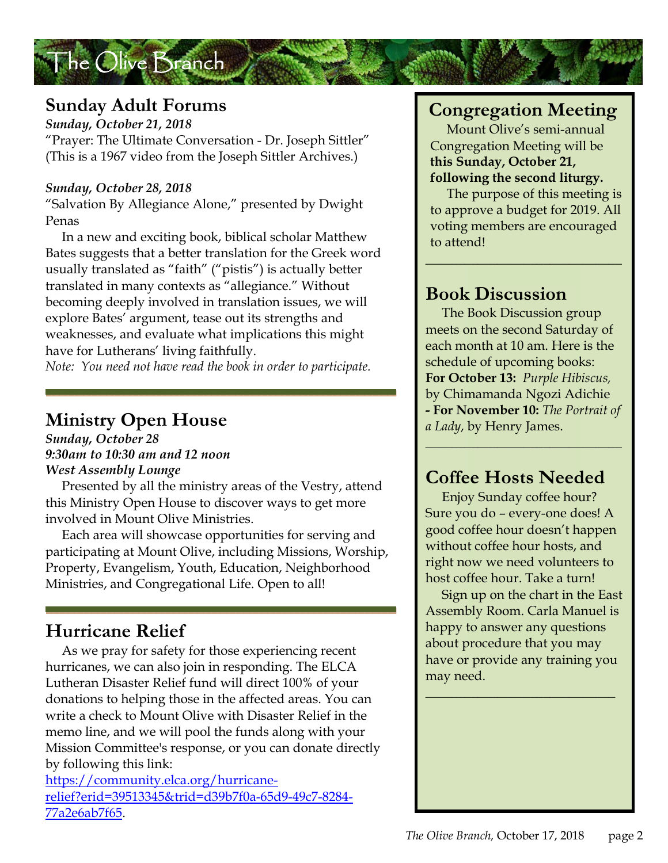## **Sunday Adult Forums**

The Olive Branch

*Sunday, October 21, 2018*  "Prayer: The Ultimate Conversation - Dr. Joseph Sittler" (This is a 1967 video from the Joseph Sittler Archives.)

#### *Sunday, October 28, 2018*

"Salvation By Allegiance Alone," presented by Dwight Penas

 In a new and exciting book, biblical scholar Matthew Bates suggests that a better translation for the Greek word usually translated as "faith" ("pistis") is actually better translated in many contexts as "allegiance." Without becoming deeply involved in translation issues, we will explore Bates' argument, tease out its strengths and weaknesses, and evaluate what implications this might have for Lutherans' living faithfully.

*Note: You need not have read the book in order to participate.* 

## **Ministry Open House**

*Sunday, October 28 9:30am to 10:30 am and 12 noon West Assembly Lounge*

 Presented by all the ministry areas of the Vestry, attend this Ministry Open House to discover ways to get more involved in Mount Olive Ministries.

 Each area will showcase opportunities for serving and participating at Mount Olive, including Missions, Worship, Property, Evangelism, Youth, Education, Neighborhood Ministries, and Congregational Life. Open to all!

## **Hurricane Relief**

 As we pray for safety for those experiencing recent hurricanes, we can also join in responding. The ELCA Lutheran Disaster Relief fund will direct 100% of your donations to helping those in the affected areas. You can write a check to Mount Olive with Disaster Relief in the memo line, and we will pool the funds along with your Mission Committee's response, or you can donate directly by following this link:

https://community.elca.org/hurricanerelief?erid=39513345&trid=d39b7f0a-65d9-49c7-8284- 77a2e6ab7f65.

## **Congregation Meeting**

 Mount Olive's semi-annual Congregation Meeting will be **this Sunday, October 21, following the second liturgy.** 

The purpose of this meeting is to approve a budget for 2019. All voting members are encouraged to attend!

 $\_$ 

## **Book Discussion**

 The Book Discussion group meets on the second Saturday of each month at 10 am. Here is the schedule of upcoming books: **For October 13:** *Purple Hibiscus,* by Chimamanda Ngozi Adichie **- For November 10:** *The Portrait of a Lady*, by Henry James.

 $\_$ 

## **Coffee Hosts Needed**

 Enjoy Sunday coffee hour? Sure you do – every-one does! A good coffee hour doesn't happen without coffee hour hosts, and right now we need volunteers to host coffee hour. Take a turn!

 Sign up on the chart in the East Assembly Room. Carla Manuel is happy to answer any questions about procedure that you may have or provide any training you may need.

 $\overline{\phantom{a}}$  , and the set of the set of the set of the set of the set of the set of the set of the set of the set of the set of the set of the set of the set of the set of the set of the set of the set of the set of the s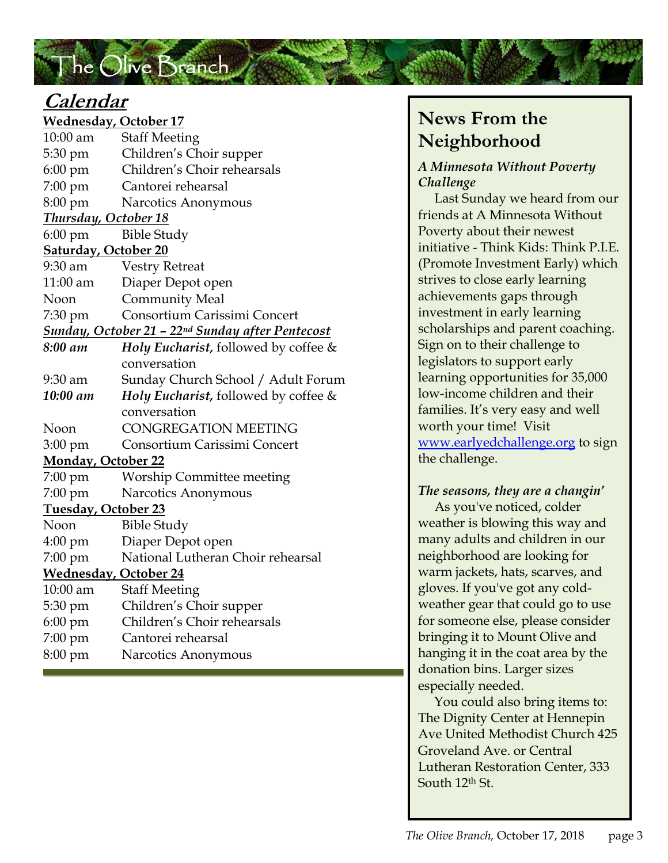## The Olive Branch

## **Calendar**

**Wednesday, October 17**  10:00 am Staff Meeting 5:30 pm Children's Choir supper 6:00 pm Children's Choir rehearsals 7:00 pm Cantorei rehearsal 8:00 pm Narcotics Anonymous *Thursday, October 18*  6:00 pm Bible Study **Saturday, October 20**  9:30 am Vestry Retreat 11:00 am Diaper Depot open Noon Community Meal 7:30 pm Consortium Carissimi Concert *Sunday, October 21 – 22nd Sunday after Pentecost 8:00 am Holy Eucharist,* followed by coffee & conversation 9:30 am Sunday Church School / Adult Forum *10:00 am Holy Eucharist,* followed by coffee & conversation Noon CONGREGATION MEETING 3:00 pm Consortium Carissimi Concert **Monday, October 22**  7:00 pm Worship Committee meeting 7:00 pm Narcotics Anonymous **Tuesday, October 23**  NoonBible Study 4:00 pm Diaper Depot open 7:00 pm National Lutheran Choir rehearsal **Wednesday, October 24**  10:00 am Staff Meeting 5:30 pm Children's Choir supper 6:00 pm Children's Choir rehearsals 7:00 pm Cantorei rehearsal 8:00 pm Narcotics Anonymous

## **News From the Neighborhood**

#### *A Minnesota Without Poverty Challenge*

 Last Sunday we heard from our friends at A Minnesota Without Poverty about their newest initiative - Think Kids: Think P.I.E. (Promote Investment Early) which strives to close early learning achievements gaps through investment in early learning scholarships and parent coaching. Sign on to their challenge to legislators to support early learning opportunities for 35,000 low-income children and their families. It's very easy and well worth your time! Visit www.earlyedchallenge.org to sign the challenge.

#### *The seasons, they are a changin'*

 As you've noticed, colder weather is blowing this way and many adults and children in our neighborhood are looking for warm jackets, hats, scarves, and gloves. If you've got any coldweather gear that could go to use for someone else, please consider bringing it to Mount Olive and hanging it in the coat area by the donation bins. Larger sizes especially needed.

 You could also bring items to: The Dignity Center at Hennepin Ave United Methodist Church 425 Groveland Ave. or Central Lutheran Restoration Center, 333 South 12<sup>th</sup> St.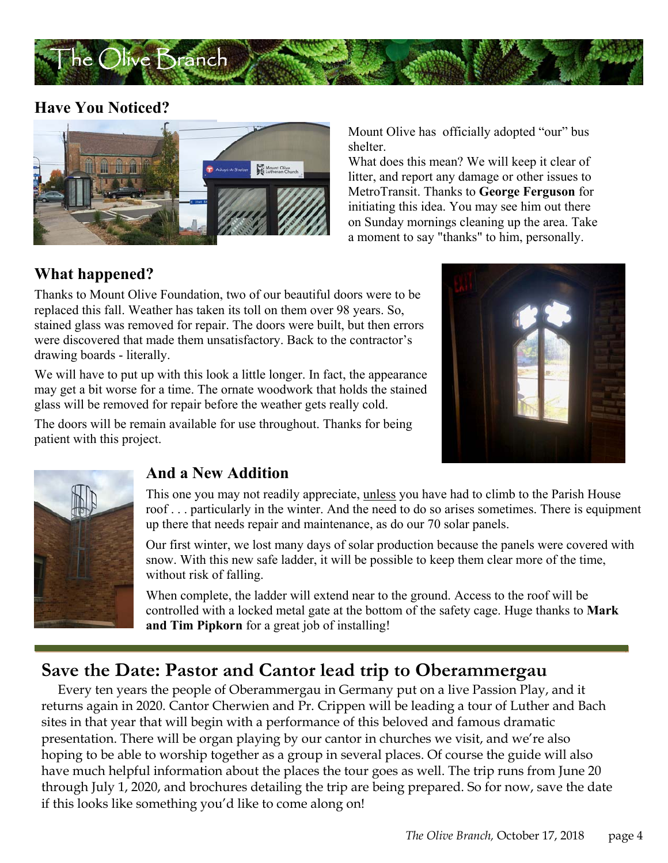

#### **Have You Noticed?**



Mount Olive has officially adopted "our" bus shelter.

What does this mean? We will keep it clear of litter, and report any damage or other issues to MetroTransit. Thanks to **George Ferguson** for initiating this idea. You may see him out there on Sunday mornings cleaning up the area. Take a moment to say "thanks" to him, personally.

### **What happened?**

Thanks to Mount Olive Foundation, two of our beautiful doors were to be replaced this fall. Weather has taken its toll on them over 98 years. So, stained glass was removed for repair. The doors were built, but then errors were discovered that made them unsatisfactory. Back to the contractor's drawing boards - literally.

We will have to put up with this look a little longer. In fact, the appearance may get a bit worse for a time. The ornate woodwork that holds the stained glass will be removed for repair before the weather gets really cold.

The doors will be remain available for use throughout. Thanks for being patient with this project.





#### **And a New Addition**

This one you may not readily appreciate, unless you have had to climb to the Parish House roof . . . particularly in the winter. And the need to do so arises sometimes. There is equipment up there that needs repair and maintenance, as do our 70 solar panels.

Our first winter, we lost many days of solar production because the panels were covered with snow. With this new safe ladder, it will be possible to keep them clear more of the time, without risk of falling.

When complete, the ladder will extend near to the ground. Access to the roof will be controlled with a locked metal gate at the bottom of the safety cage. Huge thanks to **Mark and Tim Pipkorn** for a great job of installing!

## **Save the Date: Pastor and Cantor lead trip to Oberammergau**

 Every ten years the people of Oberammergau in Germany put on a live Passion Play, and it returns again in 2020. Cantor Cherwien and Pr. Crippen will be leading a tour of Luther and Bach sites in that year that will begin with a performance of this beloved and famous dramatic presentation. There will be organ playing by our cantor in churches we visit, and we're also hoping to be able to worship together as a group in several places. Of course the guide will also have much helpful information about the places the tour goes as well. The trip runs from June 20 through July 1, 2020, and brochures detailing the trip are being prepared. So for now, save the date if this looks like something you'd like to come along on!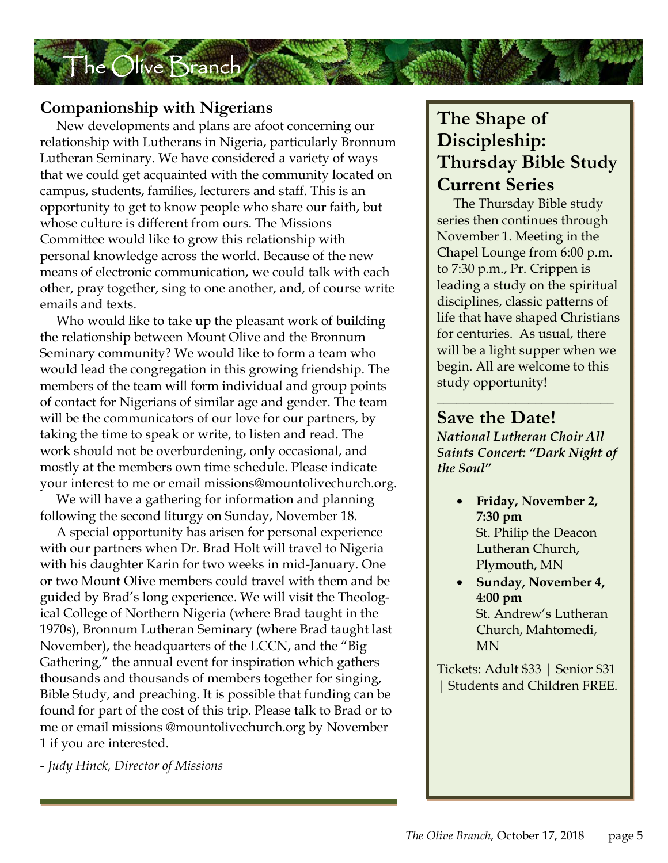

#### **Companionship with Nigerians**

 New developments and plans are afoot concerning our relationship with Lutherans in Nigeria, particularly Bronnum Lutheran Seminary. We have considered a variety of ways that we could get acquainted with the community located on campus, students, families, lecturers and staff. This is an opportunity to get to know people who share our faith, but whose culture is different from ours. The Missions Committee would like to grow this relationship with personal knowledge across the world. Because of the new means of electronic communication, we could talk with each other, pray together, sing to one another, and, of course write emails and texts.

will be the communicators of our love for our partners, by Who would like to take up the pleasant work of building the relationship between Mount Olive and the Bronnum Seminary community? We would like to form a team who would lead the congregation in this growing friendship. The members of the team will form individual and group points of contact for Nigerians of similar age and gender. The team taking the time to speak or write, to listen and read. The work should not be overburdening, only occasional, and mostly at the members own time schedule. Please indicate your interest to me or email missions@mountolivechurch.org.

 We will have a gathering for information and planning following the second liturgy on Sunday, November 18.

 A special opportunity has arisen for personal experience with our partners when Dr. Brad Holt will travel to Nigeria with his daughter Karin for two weeks in mid-January. One or two Mount Olive members could travel with them and be guided by Brad's long experience. We will visit the Theological College of Northern Nigeria (where Brad taught in the 1970s), Bronnum Lutheran Seminary (where Brad taught last November), the headquarters of the LCCN, and the "Big Gathering," the annual event for inspiration which gathers thousands and thousands of members together for singing, Bible Study, and preaching. It is possible that funding can be found for part of the cost of this trip. Please talk to Brad or to me or email missions @mountolivechurch.org by November 1 if you are interested.

*- Judy Hinck, Director of Missions* 

## **The Shape of Discipleship: Thursday Bible Study Current Series**

 The Thursday Bible study series then continues through November 1. Meeting in the Chapel Lounge from 6:00 p.m. to 7:30 p.m., Pr. Crippen is leading a study on the spiritual disciplines, classic patterns of life that have shaped Christians for centuries. As usual, there will be a light supper when we begin. All are welcome to this study opportunity!

#### **Save the Date!**

*National Lutheran Choir All Saints Concert: "Dark Night of the Soul"* 

 $\_$ 

- **Friday, November 2, 7:30 pm**  St. Philip the Deacon Lutheran Church, Plymouth, MN
- **Sunday, November 4, 4:00 pm**  St. Andrew's Lutheran Church, Mahtomedi, MN

Tickets: Adult \$33 | Senior \$31 | Students and Children FREE.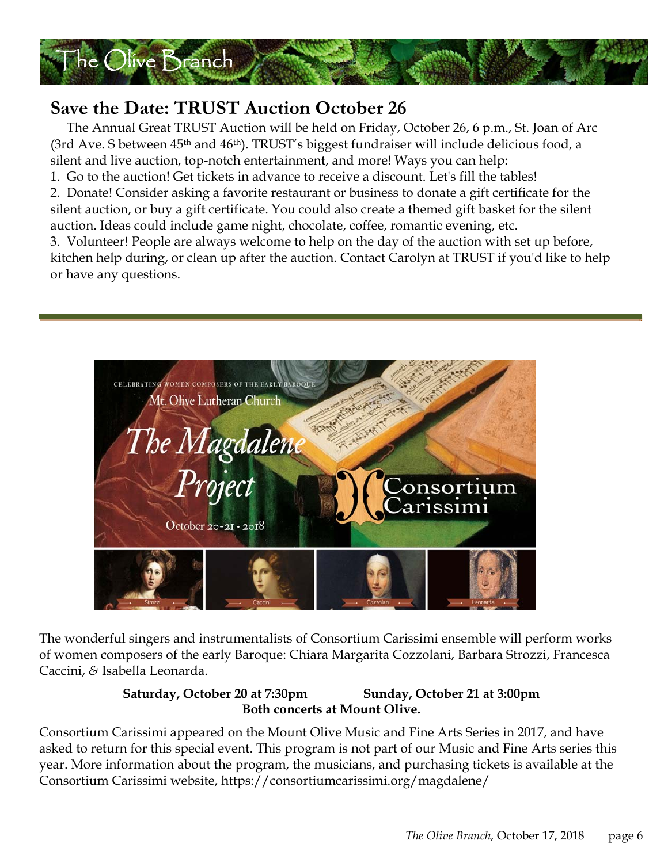

## **Save the Date: TRUST Auction October 26**

 The Annual Great TRUST Auction will be held on Friday, October 26, 6 p.m., St. Joan of Arc (3rd Ave. S between 45<sup>th</sup> and 46<sup>th</sup>). TRUST's biggest fundraiser will include delicious food, a silent and live auction, top-notch entertainment, and more! Ways you can help:

1. Go to the auction! Get tickets in advance to receive a discount. Let's fill the tables!

2. Donate! Consider asking a favorite restaurant or business to donate a gift certificate for the silent auction, or buy a gift certificate. You could also create a themed gift basket for the silent auction. Ideas could include game night, chocolate, coffee, romantic evening, etc.

3. Volunteer! People are always welcome to help on the day of the auction with set up before, kitchen help during, or clean up after the auction. Contact Carolyn at TRUST if you'd like to help or have any questions.



The wonderful singers and instrumentalists of Consortium Carissimi ensemble will perform works of women composers of the early Baroque: Chiara Margarita Cozzolani, Barbara Strozzi, Francesca Caccini, *&* Isabella Leonarda.

#### **Saturday, October 20 at 7:30pm Sunday, October 21 at 3:00pm Both concerts at Mount Olive.**

Consortium Carissimi appeared on the Mount Olive Music and Fine Arts Series in 2017, and have asked to return for this special event. This program is not part of our Music and Fine Arts series this year. More information about the program, the musicians, and purchasing tickets is available at the Consortium Carissimi website, https://consortiumcarissimi.org/magdalene/